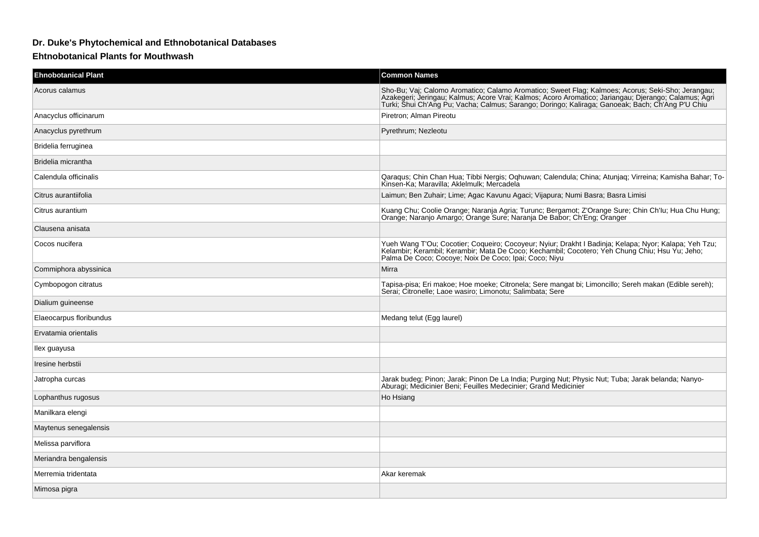## **Dr. Duke's Phytochemical and Ethnobotanical Databases**

## **Ehtnobotanical Plants for Mouthwash**

| <b>Ehnobotanical Plant</b> | <b>Common Names</b>                                                                                                                                                                                                                                                                                           |
|----------------------------|---------------------------------------------------------------------------------------------------------------------------------------------------------------------------------------------------------------------------------------------------------------------------------------------------------------|
| Acorus calamus             | Sho-Bu; Vaj; Calomo Aromatico; Calamo Aromatico; Sweet Flag; Kalmoes; Acorus; Seki-Sho; Jerangau;<br>Azakegeri; Jeringau; Kalmus; Acore Vrai; Kalmos; Acoro Aromatico; Jariangau; Djerango; Calamus; Agri<br>Turki; Šhui Ch'Ang Pu; Vacha; Calmus; Sarango; Doringo; Kaliraga; Ganoeak; Bach; Ch'Ang P'U Chiu |
| Anacyclus officinarum      | Piretron; Alman Pireotu                                                                                                                                                                                                                                                                                       |
| Anacyclus pyrethrum        | Pyrethrum; Nezleotu                                                                                                                                                                                                                                                                                           |
| Bridelia ferruginea        |                                                                                                                                                                                                                                                                                                               |
| Bridelia micrantha         |                                                                                                                                                                                                                                                                                                               |
| Calendula officinalis      | Qaraqus; Chin Chan Hua; Tibbi Nergis; Oqhuwan; Calendula; China; Atunjaq; Virreina; Kamisha Bahar; To-<br>Kinsen-Ka; Maravilla; Aklelmulk; Mercadela                                                                                                                                                          |
| Citrus aurantiifolia       | Laimun; Ben Zuhair; Lime; Agac Kavunu Agaci; Vijapura; Numi Basra; Basra Limisi                                                                                                                                                                                                                               |
| Citrus aurantium           | Kuang Chu; Coolie Orange; Naranja Agria; Turunc; Bergamot; Z'Orange Sure; Chin Ch'lu; Hua Chu Hung;<br>Orange; Naranjo Amargo; Orange Sure; Naranja De Babor; Ch'Eng; Oranger                                                                                                                                 |
| Clausena anisata           |                                                                                                                                                                                                                                                                                                               |
| Cocos nucifera             | Yueh Wang T'Ou; Cocotier; Coqueiro; Cocoyeur; Nyiur; Drakht I Badinja; Kelapa; Nyor; Kalapa; Yeh Tzu;<br>Kelambir; Kerambil; Kerambir; Mata De Coco; Kechambil; Cocotero; Yeh Chung Chiu; Hsu Yu; Jeho;<br>Palma De Coco; Cocoye; Noix De Coco; Ipai; Coco; Niyu                                              |
| Commiphora abyssinica      | Mirra                                                                                                                                                                                                                                                                                                         |
| Cymbopogon citratus        | Tapisa-pisa; Eri makoe; Hoe moeke; Citronela; Sere mangat bi; Limoncillo; Sereh makan (Edible sereh);<br>Serai; Citronelle; Laoe wasiro; Limonotu; Salimbata; Sere                                                                                                                                            |
| Dialium guineense          |                                                                                                                                                                                                                                                                                                               |
| Elaeocarpus floribundus    | Medang telut (Egg laurel)                                                                                                                                                                                                                                                                                     |
| Ervatamia orientalis       |                                                                                                                                                                                                                                                                                                               |
| llex guayusa               |                                                                                                                                                                                                                                                                                                               |
| Iresine herbstii           |                                                                                                                                                                                                                                                                                                               |
| Jatropha curcas            | Jarak budeg; Pinon; Jarak; Pinon De La India; Purging Nut; Physic Nut; Tuba; Jarak belanda; Nanyo-<br>Aburagi; Medicinier Beni; Feuilles Medecinier; Grand Medicinier                                                                                                                                         |
| Lophanthus rugosus         | Ho Hsiang                                                                                                                                                                                                                                                                                                     |
| Manilkara elengi           |                                                                                                                                                                                                                                                                                                               |
| Maytenus senegalensis      |                                                                                                                                                                                                                                                                                                               |
| Melissa parviflora         |                                                                                                                                                                                                                                                                                                               |
| Meriandra bengalensis      |                                                                                                                                                                                                                                                                                                               |
| Merremia tridentata        | Akar keremak                                                                                                                                                                                                                                                                                                  |
| Mimosa pigra               |                                                                                                                                                                                                                                                                                                               |